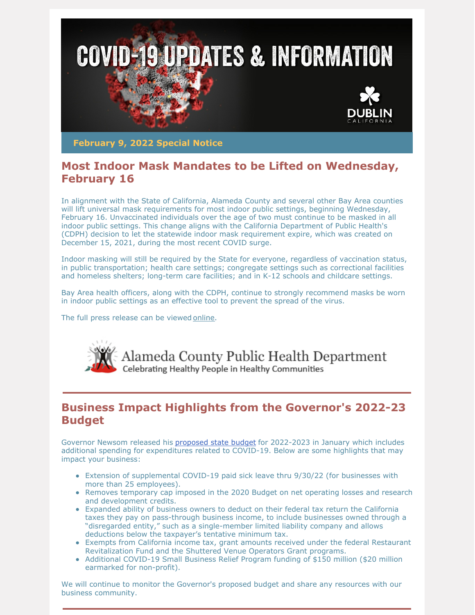

**February 9, 2022 Special Notice**

# **Most Indoor Mask Mandates to be Lifted on Wednesday, February 16**

In alignment with the State of California, Alameda County and several other Bay Area counties will lift universal mask requirements for most indoor public settings, beginning Wednesday, February 16. Unvaccinated individuals over the age of two must continue to be masked in all indoor public settings. This change aligns with the California Department of Public Health's (CDPH) decision to let the statewide indoor mask requirement expire, which was created on December 15, 2021, during the most recent COVID surge.

Indoor masking will still be required by the State for everyone, regardless of vaccination status, in public transportation; health care settings; congregate settings such as correctional facilities and homeless shelters; long-term care facilities; and in K-12 schools and childcare settings.

Bay Area health officers, along with the CDPH, continue to strongly recommend masks be worn in indoor public settings as an effective tool to prevent the spread of the virus.

The full press release can be viewed [online](https://covid-19.acgov.org/covid19-assets/docs/press/joint-release-2022.02.09.pdf).



## **Business Impact Highlights from the Governor's 2022-23 Budget**

Governor Newsom released his [proposed](https://www.gov.ca.gov/2021/01/08/governor-newsom-proposes-2021-22-state-budget/) state budget for 2022-2023 in January which includes additional spending for expenditures related to COVID-19. Below are some highlights that may impact your business:

- Extension of supplemental COVID-19 paid sick leave thru 9/30/22 (for businesses with more than 25 employees).
- Removes temporary cap imposed in the 2020 Budget on net operating losses and research and development credits.
- Expanded ability of business owners to deduct on their federal tax return the California taxes they pay on pass-through business income, to include businesses owned through a "disregarded entity," such as a single-member limited liability company and allows deductions below the taxpayer's tentative minimum tax.
- Exempts from California income tax, grant amounts received under the federal Restaurant Revitalization Fund and the Shuttered Venue Operators Grant programs.
- Additional COVID-19 Small Business Relief Program funding of \$150 million (\$20 million earmarked for non-profit).

We will continue to monitor the Governor's proposed budget and share any resources with our business community.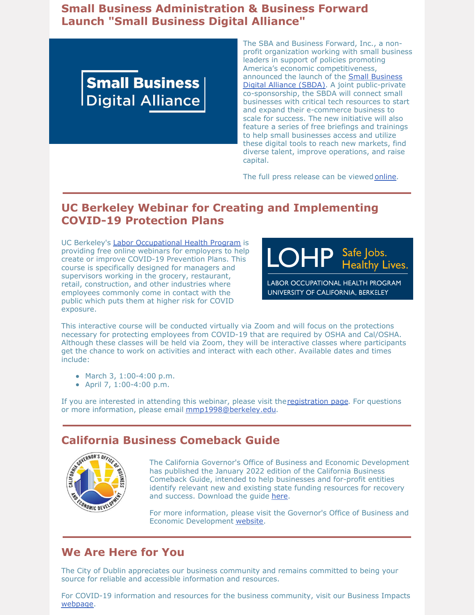## **Small Business Administration & Business Forward Launch "Small Business Digital Alliance"**



The SBA and Business Forward, Inc., a nonprofit organization working with small business leaders in support of policies promoting America's economic competitiveness, announced the launch of the **Small Business** Digital Alliance (SBDA). A joint [public-privat](https://www.smallbusinessdigitalalliance.com/)e co-sponsorship, the SBDA will connect small businesses with critical tech resources to start and expand their e-commerce business to scale for success. The new initiative will also feature a series of free briefings and trainings to help small businesses access and utilize these digital tools to reach new markets, find diverse talent, improve operations, and raise capital.

The full press release can be viewed [online](https://www.smallbusinessdigitalalliance.com/_files/ugd/86970e_6d00ab17c2954f0eb09d01262792d358.pdf).

## **UC Berkeley Webinar for Creating and Implementing COVID-19 Protection Plans**

UC Berkeley's Labor [Occupational](https://lohp.berkeley.edu/) Health Program is providing free online webinars for employers to help create or improve COVID-19 Prevention Plans. This course is specifically designed for managers and supervisors working in the grocery, restaurant, retail, construction, and other industries where employees commonly come in contact with the public which puts them at higher risk for COVID exposure.



UNIVERSITY OF CALIFORNIA, BERKELEY

This interactive course will be conducted virtually via Zoom and will focus on the protections necessary for protecting employees from COVID-19 that are required by OSHA and Cal/OSHA. Although these classes will be held via Zoom, they will be interactive classes where participants get the chance to work on activities and interact with each other. Available dates and times include:

- March 3, 1:00-4:00 p.m.
- April 7, 1:00-4:00 p.m.

If you are interested in attending this webinar, please visit the [registration](https://lohp.berkeley.edu/developing-and-implementing-an-effective-covid-19-infectious-disease-prevention-program-for-your-business/) page. For questions or more information, please email [mmp1998@berkeley.edu](mailto:mmp1998@berkeley.edu).

#### **California Business Comeback Guide**



The California Governor's Office of Business and Economic Development has published the January 2022 edition of the California Business Comeback Guide, intended to help businesses and for-profit entities identify relevant new and existing state funding resources for recovery and success. Download the guide [here](https://static.business.ca.gov/wp-content/uploads/2021/12/GO-Biz-California-Comeback-Guide-1-13.pdf).

For more information, please visit the Governor's Office of Business and Economic Development [website](https://business.ca.gov/).

## **We Are Here for You**

The City of Dublin appreciates our business community and remains committed to being your source for reliable and accessible information and resources.

For COVID-19 information and resources for the business community, visit our Business Impacts [webpage](https://dublin.ca.gov/2177/COVID-19-Business-Impacts).